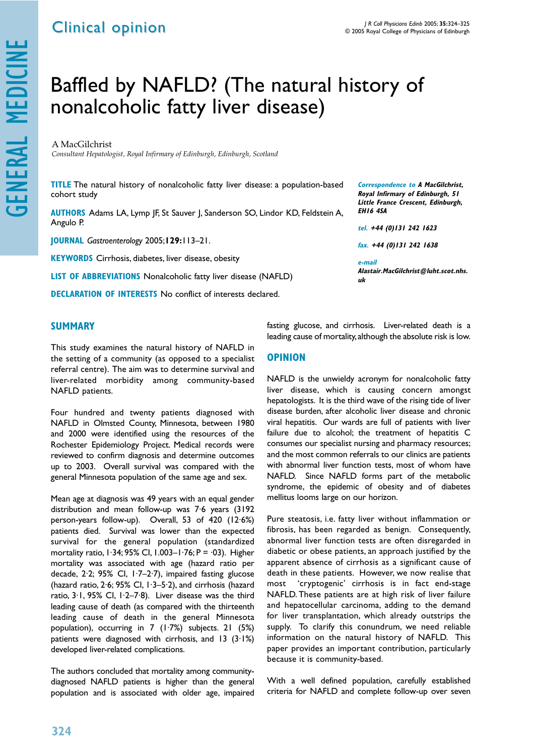## Baffled by NAFLD? (The natural history of nonalcoholic fatty liver disease)

A MacGilchrist *Consultant Hepatologist, Royal Infirmary of Edinburgh, Edinburgh, Scotland* 

**TITLE** The natural history of nonalcoholic fatty liver disease: a population-based cohort study

**AUTHORS** Adams LA, Lymp JF, St Sauver J, Sanderson SO, Lindor KD, Feldstein A, Angulo P.

**JOURNAL** *Gastroenterology* 2005;**129:**113–21.

**KEYWORDS** Cirrhosis, diabetes, liver disease, obesity

**LIST OF ABBREVIATIONS** Nonalcoholic fatty liver disease (NAFLD)

**DECLARATION OF INTERESTS** No conflict of interests declared.

## **SUMMARY**

This study examines the natural history of NAFLD in the setting of a community (as opposed to a specialist referral centre). The aim was to determine survival and liver-related morbidity among community-based NAFLD patients.

Four hundred and twenty patients diagnosed with NAFLD in Olmsted County, Minnesota, between 1980 and 2000 were identified using the resources of the Rochester Epidemiology Project. Medical records were reviewed to confirm diagnosis and determine outcomes up to 2003. Overall survival was compared with the general Minnesota population of the same age and sex.

Mean age at diagnosis was 49 years with an equal gender distribution and mean follow-up was 7·6 years (3192 person-years follow-up). Overall, 53 of 420 (12·6%) patients died. Survival was lower than the expected survival for the general population (standardized mortality ratio, 1·34; 95% CI, 1.003–1·76; P = ·03). Higher mortality was associated with age (hazard ratio per decade, 2·2; 95% CI, 1·7–2·7), impaired fasting glucose (hazard ratio, 2·6; 95% CI, 1·3–5·2), and cirrhosis (hazard ratio, 3·1, 95% CI, 1·2–7·8). Liver disease was the third leading cause of death (as compared with the thirteenth leading cause of death in the general Minnesota population), occurring in 7 (1·7%) subjects. 21 (5%) patients were diagnosed with cirrhosis, and 13  $(3.1%)$ developed liver-related complications.

The authors concluded that mortality among communitydiagnosed NAFLD patients is higher than the general population and is associated with older age, impaired

**Correspondence to A MacGilchrist, Royal Infirmary of Edinburgh, 51 Little France Crescent, Edinburgh, EH16 4SA**

**tel. +44 (0)131 242 1623**

**fax. +44 (0)131 242 1638**

**e-mail Alastair.MacGilchrist@luht.scot.nhs. uk**

fasting glucose, and cirrhosis. Liver-related death is a leading cause of mortality, although the absolute risk is low.

## **OPINION**

NAFLD is the unwieldy acronym for nonalcoholic fatty liver disease, which is causing concern amongst hepatologists. It is the third wave of the rising tide of liver disease burden, after alcoholic liver disease and chronic viral hepatitis. Our wards are full of patients with liver failure due to alcohol; the treatment of hepatitis C consumes our specialist nursing and pharmacy resources; and the most common referrals to our clinics are patients with abnormal liver function tests, most of whom have NAFLD. Since NAFLD forms part of the metabolic syndrome, the epidemic of obesity and of diabetes mellitus looms large on our horizon.

Pure steatosis, i.e. fatty liver without inflammation or fibrosis, has been regarded as benign. Consequently, abnormal liver function tests are often disregarded in diabetic or obese patients, an approach justified by the apparent absence of cirrhosis as a significant cause of death in these patients. However, we now realise that most 'cryptogenic' cirrhosis is in fact end-stage NAFLD. These patients are at high risk of liver failure and hepatocellular carcinoma, adding to the demand for liver transplantation, which already outstrips the supply. To clarify this conundrum, we need reliable information on the natural history of NAFLD. This paper provides an important contribution, particularly because it is community-based.

With a well defined population, carefully established criteria for NAFLD and complete follow-up over seven